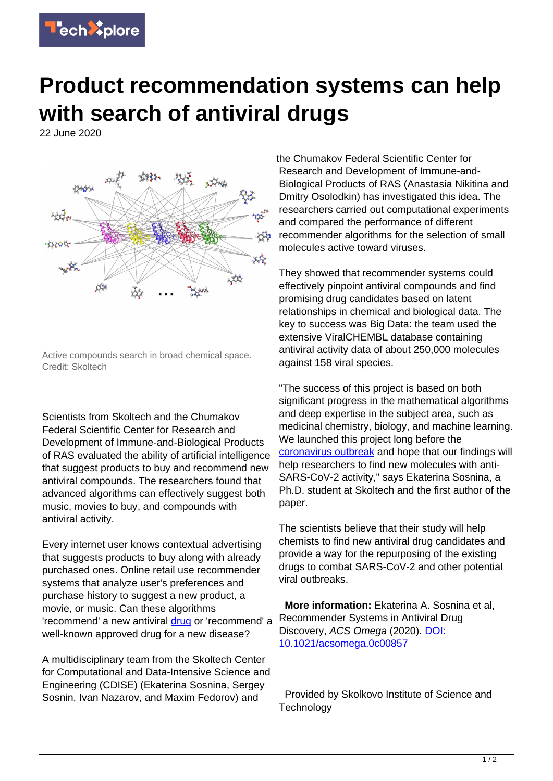

## **Product recommendation systems can help with search of antiviral drugs**

22 June 2020



Active compounds search in broad chemical space. Credit: Skoltech

Scientists from Skoltech and the Chumakov Federal Scientific Center for Research and Development of Immune-and-Biological Products of RAS evaluated the ability of artificial intelligence that suggest products to buy and recommend new antiviral compounds. The researchers found that advanced algorithms can effectively suggest both music, movies to buy, and compounds with antiviral activity.

Every internet user knows contextual advertising that suggests products to buy along with already purchased ones. Online retail use recommender systems that analyze user's preferences and purchase history to suggest a new product, a movie, or music. Can these algorithms 'recommend' a new antiviral [drug](https://techxplore.com/tags/drug/) or 'recommend' a well-known approved drug for a new disease?

A multidisciplinary team from the Skoltech Center for Computational and Data-Intensive Science and Engineering (CDISE) (Ekaterina Sosnina, Sergey Sosnin, Ivan Nazarov, and Maxim Fedorov) and

the Chumakov Federal Scientific Center for Research and Development of Immune-and-Biological Products of RAS (Anastasia Nikitina and Dmitry Osolodkin) has investigated this idea. The researchers carried out computational experiments and compared the performance of different recommender algorithms for the selection of small molecules active toward viruses.

They showed that recommender systems could effectively pinpoint antiviral compounds and find promising drug candidates based on latent relationships in chemical and biological data. The key to success was Big Data: the team used the extensive ViralCHEMBL database containing antiviral activity data of about 250,000 molecules against 158 viral species.

"The success of this project is based on both significant progress in the mathematical algorithms and deep expertise in the subject area, such as medicinal chemistry, biology, and machine learning. We launched this project long before the [coronavirus outbreak](https://techxplore.com/tags/coronavirus+outbreak/) and hope that our findings will help researchers to find new molecules with anti-SARS-CoV-2 activity," says Ekaterina Sosnina, a Ph.D. student at Skoltech and the first author of the paper.

The scientists believe that their study will help chemists to find new antiviral drug candidates and provide a way for the repurposing of the existing drugs to combat SARS-CoV-2 and other potential viral outbreaks.

 **More information:** Ekaterina A. Sosnina et al, Recommender Systems in Antiviral Drug Discovery, ACS Omega (2020). [DOI:](http://dx.doi.org/10.1021/acsomega.0c00857) [10.1021/acsomega.0c00857](http://dx.doi.org/10.1021/acsomega.0c00857)

 Provided by Skolkovo Institute of Science and **Technology**